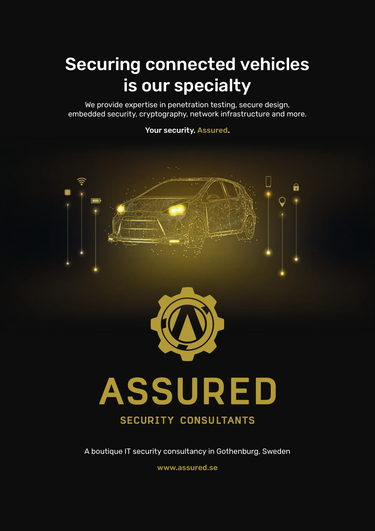## Securing connected vehicles is our specialty

We provide expertise in penetration testing, secure design, embedded security, cryptography, network infrastructure and more.

Your security, Assured.



### **SECURITY CONSULTANTS**

A boutique IT security consultancy in Gothenburg, Sweden

www.assured.se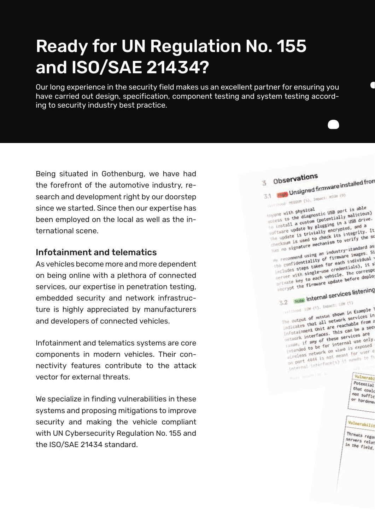## Ready for UN Regulation No. 155 and ISO/SAE 21434?

Our long experience in the security field makes us an excellent partner for ensuring you have carried out design, specification, component testing and system testing according to security industry best practice.

Being situated in Gothenburg, we have had the forefront of the automotive industry, research and development right by our doorstep since we started. Since then our expertise has been employed on the local as well as the international scene.

### Infotainment and telematics

As vehicles become more and more dependent on being online with a plethora of connected services, our expertise in penetration testing, embedded security and network infrastructure is highly appreciated by manufacturers and developers of connected vehicles.

Infotainment and telematics systems are core components in modern vehicles. Their connectivity features contribute to the attack vector for external threats.

We specialize in finding vulnerabilities in these systems and proposing mitigations to improve security and making the vehicle compliant with UN Cybersecurity Regulation No. 155 and the ISO/SAE 21434 standard.

### 3 Observations  $\frac{3}{3.1}$  Observations<br> $\frac{3}{3.1}$  High Unsigned firmware installed from

1 High Unsigned III. HIGH (9)

Anyone with physical<br>access to the diagnostic USB port is able<br>access to the diagnostic USB port and a custom clusters in a USB drive Anyone with physical Anyone with physical<br>access to the diagnostic USB port is able<br>to install a custom (potentially malicious)<br>to install a custom (pugging in a USB drive. Anyone with the diagnostic entially malicious)<br>location to the diagnostic contraining in a USB drive.<br>location undate by Plugging in a USB drive.<br>location is trivially encrypted, and a install a custom (potential in a USB drive)<br>Install a custom plugging in a USB drive<br>Inte update is trivially encrypted, and a<br>The update is trivially encrypted, and a instant update by plugging<br>oftware update is trivially encrypted, and a<br>the update is trivially encrypted, and it<br>checks its integrity the so The update is trivially the someone when the someone is used to check its integrity.

the Kaum is used<br>has no signature mechanism to vertex<br>tandard as<br>the recommend using an industry-standard as<br>complicated in the cach individual Whis no signature<br>We recommend using an industry-standard as<br>the confidentiality of firmware images. Si<br>the confidentiality of the each individual is The commend using an internate images.<br>The confidentiality of firmware images.<br>Includes steps taken for each individual is<br>includes steps taken for eachtials), it s The confidentiality of the each individual<br>includes steps taken for each individual is<br>includes steps taken for each interespendence of the correspondence of the correspondence of the correspondence of the correspondence o includes steps taken for credentials), it is<br>includes steps taken for credentials), it is<br>includes with single-use credentials), it is encludes with single-use circle. The correspondence of the second vehicle. The correspondence of the second of the second process in the second process in the second process in the second process in the second process in t

# Berrypt the firms of the first services listening

 $\frac{100 \text{ Mote}}{100 \text{ Mpc}} \frac{100 \text{ Mpc}}{100 \text{ Mpc}} \frac{100 \text{ Mpc}}{100 \text{ Mpc}}$ 

The output of netstat shown in Example 1<br>The output of netstat shown in Example 1<br>that all network services in The output of netstat shown in Example<br>Indicates that all network services in<br>Indicates that all network services in The output of netstar<br>Indicates that all network services in<br>Infotalment unit are reachable from a<br>Infotalment unit are reachable is a secure Including that all me reachable from or<br>Infortainment unit are reachable from or<br>Incluent interfaces. This can be a secure<br>is any of these services are infotainment unit are this can be a services are<br>includir. if any of these services are<br>insum, if any of these services are instance in the faces.<br>I usual, if any of these services are<br>Intended to be for internal use only.<br>Intended to be for intand is exposed ISSUED, if any of the internal use of the strategy of the strategy of the strategy of the strategy of the strategy of the strategy of the strategy of the strategy of the strategy of the strategy of the strategy of the stra Intended to be TOT wish is exposed<br>alreless network on wish for user comport 4444 is not meant for user comport ulreless network on meant for user<br>on port 4444 is not meant for user<br>intermal interface(s) it means to fu

Vulnerabi Potential that could

not suffic or hardene

Vulnerabilit

Threats regal servers relat in the field.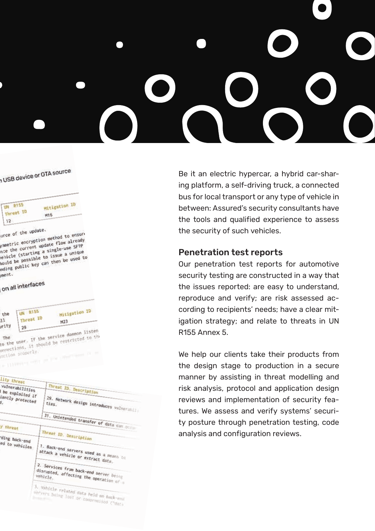USB device or OTA source

| <b>UN R155</b> | <b>Mitigation ID</b> |
|----------------|----------------------|
| Threat IO      | M16                  |
| 12             |                      |

urce of the update. wrce of the update.<br>Summetric encryption method to ensure<br>the current update flow already where or<br>sumetric encryption method to ensure<br>nce the current update flow already<br>nce the current a single-use SFTP metric encryption<br>ince the current update flow already<br>rehicle (starting a single-use SFTP<br>when be used to then be used to nce the current as single-use and<br>rehicle (starting a single-use a unique<br>hould be possible to issue a unique<br>the mublic key can then be used to exercise (starting a signal a unique<br>hould be possible to issue a unique<br>moing public key can then be used to

ment.

### on all interfaces

| the<br>$11\,$<br>urity | <b>UN R155</b><br>Threat ID | Mitigation ID<br>M23                                                                    |
|------------------------|-----------------------------|-----------------------------------------------------------------------------------------|
|                        |                             | to the user. If the service daemon listen<br>onnections, it should be restricted to the |
|                        | stion properly.             |                                                                                         |

| vuinerabilities<br>be exploited if<br>iently protected | inreal ID. Description<br>29. Network design introduces vulneranii                          |
|--------------------------------------------------------|---------------------------------------------------------------------------------------------|
|                                                        |                                                                                             |
| y threat                                               | 31. Unintended transfer of data can account                                                 |
|                                                        | Threat ID. Description                                                                      |
| ding back-end<br>ed to vehicles                        | 1. Back-end servers used as a means to<br>attack a vehicle or extract data.                 |
|                                                        | 2. Services from back-end server being<br>disrupted, affecting the operation of<br>vehicle. |
|                                                        | 3. Vehicle related data held on back-s<br>servers being lost or compremised ("data          |

Be it an electric hypercar, a hybrid car-sharing platform, a self-driving truck, a connected bus for local transport or any type of vehicle in between: Assured's security consultants have the tools and qualified experience to assess the security of such vehicles.

### Penetration test reports

Our penetration test reports for automotive security testing are constructed in a way that the issues reported: are easy to understand, reproduce and verify; are risk assessed according to recipients' needs; have a clear mitigation strategy; and relate to threats in UN R155 Annex 5.

We help our clients take their products from the design stage to production in a secure manner by assisting in threat modelling and risk analysis, protocol and application design reviews and implementation of security features. We assess and verify systems' security posture through penetration testing, code analysis and configuration reviews.